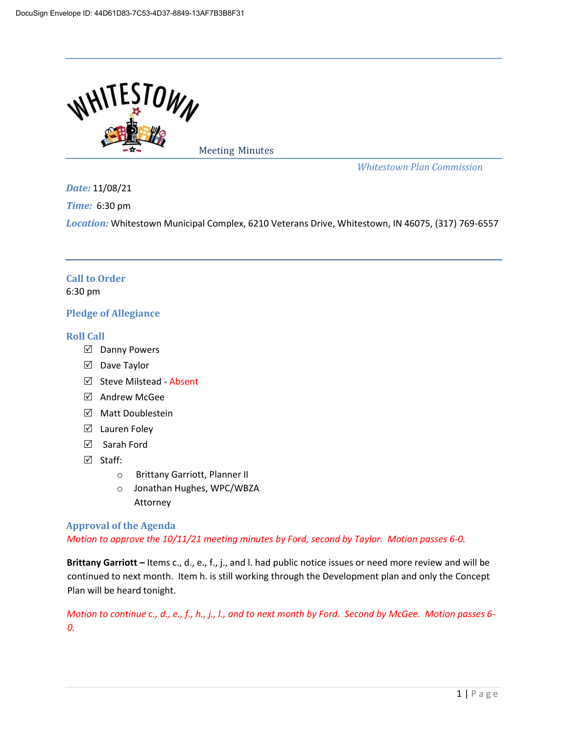

Meeting Minutes

*Whitestown Plan Commission*

*Date:* 11/08/21

*Time:* 6:30 pm

*Location:* Whitestown Municipal Complex, 6210 Veterans Drive, Whitestown, IN 46075, (317) 769-6557

# **Call to Order**  6:30 pm

# **Pledge of Allegiance**

# **Roll Call**

- $\boxtimes$  Danny Powers
- $\boxtimes$  Dave Taylor
- $\boxtimes$  Steve Milstead Absent
- $\boxtimes$  Andrew McGee
- $\boxtimes$  Matt Doublestein
- $\boxtimes$  Lauren Foley
- Sarah Ford
- $\boxtimes$  Staff:
	- o Brittany Garriott, Planner II
	- o Jonathan Hughes, WPC/WBZA Attorney

**Approval of the Agenda**  *Motion to approve the 10/11/21 meeting minutes by Ford, second by Taylor. Motion passes 6-0.*

**Brittany Garriott –** Items c., d., e., f., j., and l. had public notice issues or need more review and will be continued to next month. Item h. is still working through the Development plan and only the Concept Plan will be heard tonight.

*Motion to continue c., d., e., f., h., j., l., and to next month by Ford. Second by McGee. Motion passes 6-0.*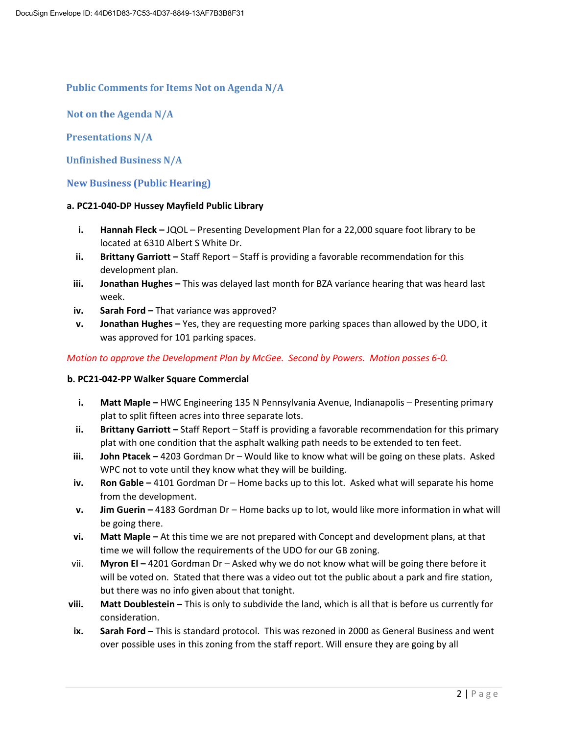# **Public Comments for Items Not on Agenda N/A**

**Not on the Agenda N/A** 

**Presentations N/A** 

**Unfinished Business N/A** 

**New Business (Public Hearing)**

### **a. PC21-040-DP Hussey Mayfield Public Library**

- **i. Hannah Fleck –** JQOL Presenting Development Plan for a 22,000 square foot library to be located at 6310 Albert S White Dr.
- **ii. Brittany Garriott** Staff Report Staff is providing a favorable recommendation for this development plan.
- **iii. Jonathan Hughes –** This was delayed last month for BZA variance hearing that was heard last week.
- **iv.** Sarah Ford That variance was approved?
- **v. Jonathan Hughes –** Yes, they are requesting more parking spaces than allowed by the UDO, it was approved for 101 parking spaces.

## *Motion to approve the Development Plan by McGee. Second by Powers. Motion passes 6-0.*

## **b. PC21-042-PP Walker Square Commercial**

- **i.** Matt Maple HWC Engineering 135 N Pennsylvania Avenue, Indianapolis Presenting primary plat to split fifteen acres into three separate lots.
- **ii. Brittany Garriott** Staff Report Staff is providing a favorable recommendation for this primary plat with one condition that the asphalt walking path needs to be extended to ten feet.
- **iii. John Ptacek –** 4203 Gordman Dr Would like to know what will be going on these plats. Asked WPC not to vote until they know what they will be building.
- **iv. Ron Gable -** 4101 Gordman Dr Home backs up to this lot. Asked what will separate his home from the development.
- **v. Jim Guerin** 4183 Gordman Dr Home backs up to lot, would like more information in what will be going there.
- **vi. Matt Maple –** At this time we are not prepared with Concept and development plans, at that time we will follow the requirements of the UDO for our GB zoning.
- vii. **Myron El –** 4201 Gordman Dr Asked why we do not know what will be going there before it will be voted on. Stated that there was a video out tot the public about a park and fire station, but there was no info given about that tonight.
- **viii. Matt Doublestein –** This is only to subdivide the land, which is all that is before us currently for consideration.
- **ix. Sarah Ford –** This is standard protocol. This was rezoned in 2000 as General Business and went over possible uses in this zoning from the staff report. Will ensure they are going by all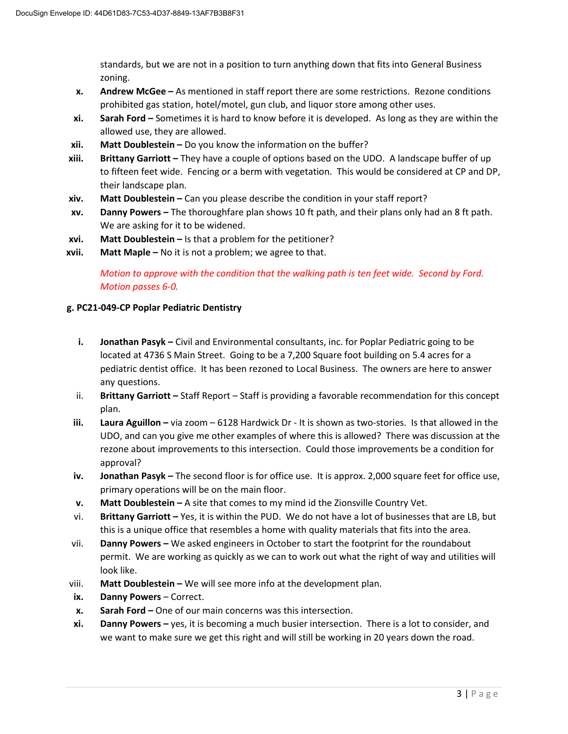standards, but we are not in a position to turn anything down that fits into General Business zoning.

- **x. Andrew McGee –** As mentioned in staff report there are some restrictions. Rezone conditions prohibited gas station, hotel/motel, gun club, and liquor store among other uses.
- **xi. Sarah Ford –** Sometimes it is hard to know before it is developed. As long as they are within the allowed use, they are allowed.
- **xii. Matt Doublestein –** Do you know the information on the buffer?
- **xiii. Brittany Garriott** They have a couple of options based on the UDO. A landscape buffer of up to fifteen feet wide. Fencing or a berm with vegetation. This would be considered at CP and DP, their landscape plan.
- **xiv. Matt Doublestein –** Can you please describe the condition in your staff report?
- **xv. Danny Powers –** The thoroughfare plan shows 10 ft path, and their plans only had an 8 ft path. We are asking for it to be widened.
- **xvi. Matt Doublestein –** Is that a problem for the petitioner?
- **xvii. Matt Maple –** No it is not a problem; we agree to that.

*Motion to approve with the condition that the walking path is ten feet wide. Second by Ford. Motion passes 6-0.*

## **g. PC21-049-CP Poplar Pediatric Dentistry**

- **i. Jonathan Pasyk** Civil and Environmental consultants, inc. for Poplar Pediatric going to be located at 4736 S Main Street. Going to be a 7,200 Square foot building on 5.4 acres for a pediatric dentist office. It has been rezoned to Local Business. The owners are here to answer any questions.
- ii. **Brittany Garriott –** Staff Report Staff is providing a favorable recommendation for this concept plan.
- **iii. Laura Aguillon –** via zoom 6128 Hardwick Dr It is shown as two-stories. Is that allowed in the UDO, and can you give me other examples of where this is allowed? There was discussion at the rezone about improvements to this intersection. Could those improvements be a condition for approval?
- **iv. Jonathan Pasyk –** The second floor is for office use. It is approx. 2,000 square feet for office use, primary operations will be on the main floor.
- **v. Matt Doublestein –** A site that comes to my mind id the Zionsville Country Vet.
- vi. **Brittany Garriott –** Yes, it is within the PUD. We do not have a lot of businesses that are LB, but this is a unique office that resembles a home with quality materials that fits into the area.
- vii. **Danny Powers –** We asked engineers in October to start the footprint for the roundabout permit. We are working as quickly as we can to work out what the right of way and utilities will look like.
- viii. Matt Doublestein We will see more info at the development plan.
- **ix. Danny Powers** Correct.
- **x. Sarah Ford –** One of our main concerns was this intersection.
- **xi. Danny Powers –** yes, it is becoming a much busier intersection. There is a lot to consider, and we want to make sure we get this right and will still be working in 20 years down the road.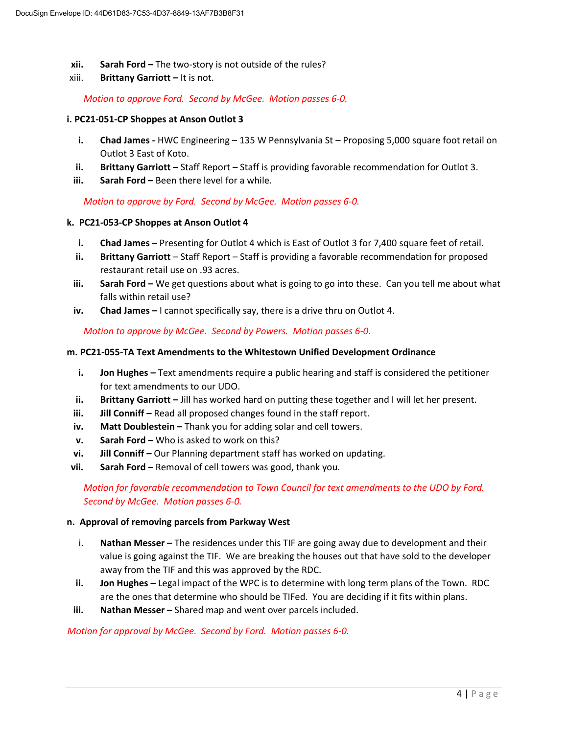- **xii.** Sarah Ford The two-story is not outside of the rules?
- xiii. **Brittany Garriott –** It is not.

*Motion to approve Ford. Second by McGee. Motion passes 6-0.*

### **i. PC21-051-CP Shoppes at Anson Outlot 3**

- **i. Chad James -** HWC Engineering 135 W Pennsylvania St Proposing 5,000 square foot retail on Outlot 3 East of Koto.
- **ii.** Brittany Garriott Staff Report Staff is providing favorable recommendation for Outlot 3.
- **iii. Sarah Ford –** Been there level for a while.

*Motion to approve by Ford. Second by McGee. Motion passes 6-0.*

### **k. PC21-053-CP Shoppes at Anson Outlot 4**

- **i. Chad James** Presenting for Outlot 4 which is East of Outlot 3 for 7,400 square feet of retail.
- **ii. Brittany Garriott** Staff Report Staff is providing a favorable recommendation for proposed restaurant retail use on .93 acres.
- **iii. Sarah Ford** We get questions about what is going to go into these. Can you tell me about what falls within retail use?
- **iv. Chad James –** I cannot specifically say, there is a drive thru on Outlot 4.

*Motion to approve by McGee. Second by Powers. Motion passes 6-0.*

### **m. PC21-055-TA Text Amendments to the Whitestown Unified Development Ordinance**

- **i. Jon Hughes –** Text amendments require a public hearing and staff is considered the petitioner for text amendments to our UDO.
- **ii. Brittany Garriott** Jill has worked hard on putting these together and I will let her present.
- **iii. Jill Conniff** Read all proposed changes found in the staff report.
- **iv.** Matt Doublestein Thank you for adding solar and cell towers.
- **v. Sarah Ford –** Who is asked to work on this?
- **vi. Jill Conniff –** Our Planning department staff has worked on updating.
- **vii.** Sarah Ford Removal of cell towers was good, thank you.

*Motion for favorable recommendation to Town Council for text amendments to the UDO by Ford. Second by McGee. Motion passes 6-0.*

#### **n. Approval of removing parcels from Parkway West**

- i. **Nathan Messer –** The residences under this TIF are going away due to development and their value is going against the TIF. We are breaking the houses out that have sold to the developer away from the TIF and this was approved by the RDC.
- **ii. Jon Hughes –** Legal impact of the WPC is to determine with long term plans of the Town. RDC are the ones that determine who should be TIFed. You are deciding if it fits within plans.
- **iii. Nathan Messer –** Shared map and went over parcels included.

#### *Motion for approval by McGee. Second by Ford. Motion passes 6-0.*